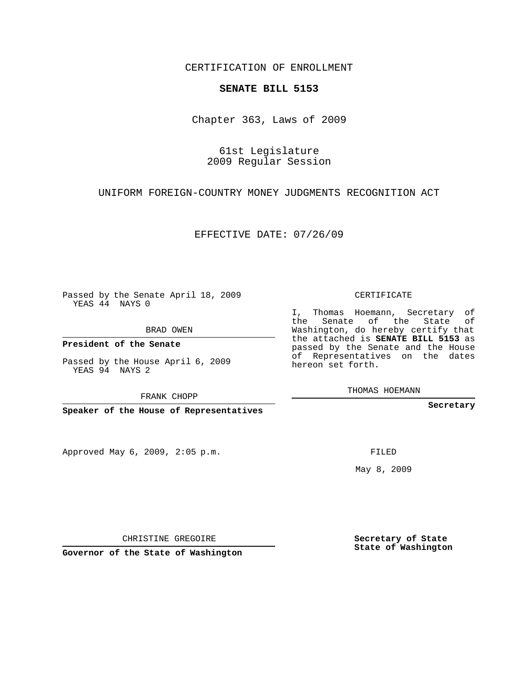CERTIFICATION OF ENROLLMENT

## **SENATE BILL 5153**

Chapter 363, Laws of 2009

61st Legislature 2009 Regular Session

UNIFORM FOREIGN-COUNTRY MONEY JUDGMENTS RECOGNITION ACT

EFFECTIVE DATE: 07/26/09

Passed by the Senate April 18, 2009 YEAS 44 NAYS 0

BRAD OWEN

**President of the Senate**

Passed by the House April 6, 2009 YEAS 94 NAYS 2

FRANK CHOPP

**Speaker of the House of Representatives**

Approved May 6, 2009, 2:05 p.m.

CERTIFICATE

I, Thomas Hoemann, Secretary of the Senate of the State of Washington, do hereby certify that the attached is **SENATE BILL 5153** as passed by the Senate and the House of Representatives on the dates hereon set forth.

THOMAS HOEMANN

**Secretary**

FILED

May 8, 2009

**Secretary of State State of Washington**

CHRISTINE GREGOIRE

**Governor of the State of Washington**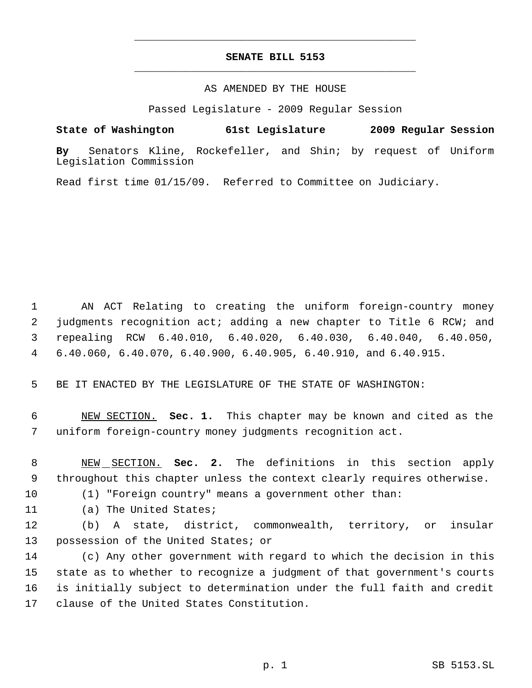## **SENATE BILL 5153** \_\_\_\_\_\_\_\_\_\_\_\_\_\_\_\_\_\_\_\_\_\_\_\_\_\_\_\_\_\_\_\_\_\_\_\_\_\_\_\_\_\_\_\_\_

\_\_\_\_\_\_\_\_\_\_\_\_\_\_\_\_\_\_\_\_\_\_\_\_\_\_\_\_\_\_\_\_\_\_\_\_\_\_\_\_\_\_\_\_\_

## AS AMENDED BY THE HOUSE

Passed Legislature - 2009 Regular Session

**State of Washington 61st Legislature 2009 Regular Session**

**By** Senators Kline, Rockefeller, and Shin; by request of Uniform Legislation Commission

Read first time 01/15/09. Referred to Committee on Judiciary.

 AN ACT Relating to creating the uniform foreign-country money judgments recognition act; adding a new chapter to Title 6 RCW; and repealing RCW 6.40.010, 6.40.020, 6.40.030, 6.40.040, 6.40.050, 6.40.060, 6.40.070, 6.40.900, 6.40.905, 6.40.910, and 6.40.915.

BE IT ENACTED BY THE LEGISLATURE OF THE STATE OF WASHINGTON:

 NEW SECTION. **Sec. 1.** This chapter may be known and cited as the uniform foreign-country money judgments recognition act.

 NEW SECTION. **Sec. 2.** The definitions in this section apply throughout this chapter unless the context clearly requires otherwise.

(1) "Foreign country" means a government other than:

(a) The United States;

 (b) A state, district, commonwealth, territory, or insular possession of the United States; or

 (c) Any other government with regard to which the decision in this state as to whether to recognize a judgment of that government's courts is initially subject to determination under the full faith and credit clause of the United States Constitution.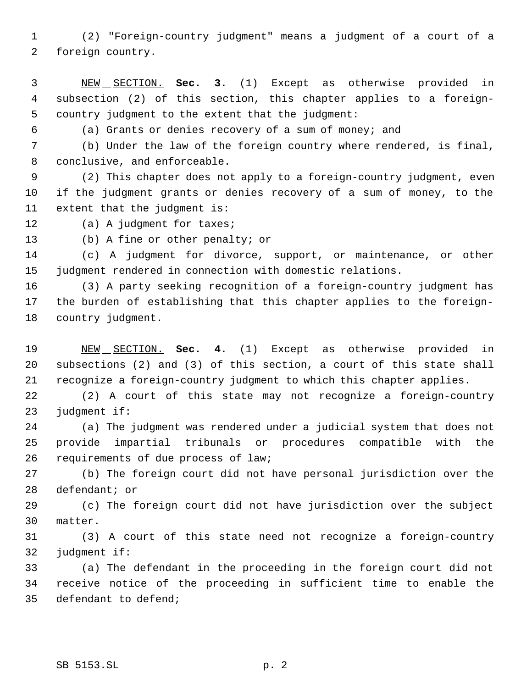(2) "Foreign-country judgment" means a judgment of a court of a foreign country.

 NEW SECTION. **Sec. 3.** (1) Except as otherwise provided in subsection (2) of this section, this chapter applies to a foreign- country judgment to the extent that the judgment:

(a) Grants or denies recovery of a sum of money; and

 (b) Under the law of the foreign country where rendered, is final, conclusive, and enforceable.

 (2) This chapter does not apply to a foreign-country judgment, even if the judgment grants or denies recovery of a sum of money, to the extent that the judgment is:

12 (a) A judgment for taxes;

(b) A fine or other penalty; or

 (c) A judgment for divorce, support, or maintenance, or other judgment rendered in connection with domestic relations.

 (3) A party seeking recognition of a foreign-country judgment has the burden of establishing that this chapter applies to the foreign-country judgment.

 NEW SECTION. **Sec. 4.** (1) Except as otherwise provided in subsections (2) and (3) of this section, a court of this state shall recognize a foreign-country judgment to which this chapter applies.

 (2) A court of this state may not recognize a foreign-country judgment if:

 (a) The judgment was rendered under a judicial system that does not provide impartial tribunals or procedures compatible with the requirements of due process of law;

 (b) The foreign court did not have personal jurisdiction over the defendant; or

 (c) The foreign court did not have jurisdiction over the subject matter.

 (3) A court of this state need not recognize a foreign-country judgment if:

 (a) The defendant in the proceeding in the foreign court did not receive notice of the proceeding in sufficient time to enable the defendant to defend;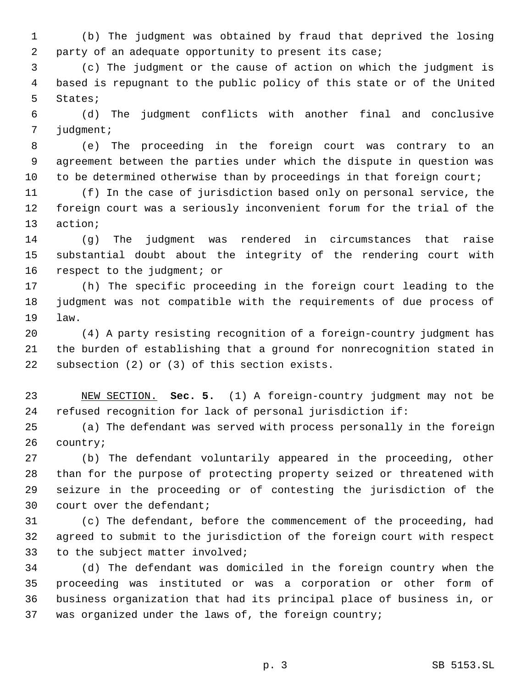(b) The judgment was obtained by fraud that deprived the losing 2 party of an adequate opportunity to present its case;

 (c) The judgment or the cause of action on which the judgment is based is repugnant to the public policy of this state or of the United States;

 (d) The judgment conflicts with another final and conclusive judgment;

 (e) The proceeding in the foreign court was contrary to an agreement between the parties under which the dispute in question was 10 to be determined otherwise than by proceedings in that foreign court;

 (f) In the case of jurisdiction based only on personal service, the foreign court was a seriously inconvenient forum for the trial of the action;

 (g) The judgment was rendered in circumstances that raise substantial doubt about the integrity of the rendering court with 16 respect to the judgment; or

 (h) The specific proceeding in the foreign court leading to the judgment was not compatible with the requirements of due process of law.

 (4) A party resisting recognition of a foreign-country judgment has the burden of establishing that a ground for nonrecognition stated in subsection (2) or (3) of this section exists.

 NEW SECTION. **Sec. 5.** (1) A foreign-country judgment may not be refused recognition for lack of personal jurisdiction if:

 (a) The defendant was served with process personally in the foreign country;

 (b) The defendant voluntarily appeared in the proceeding, other than for the purpose of protecting property seized or threatened with seizure in the proceeding or of contesting the jurisdiction of the court over the defendant;

 (c) The defendant, before the commencement of the proceeding, had agreed to submit to the jurisdiction of the foreign court with respect to the subject matter involved;

 (d) The defendant was domiciled in the foreign country when the proceeding was instituted or was a corporation or other form of business organization that had its principal place of business in, or was organized under the laws of, the foreign country;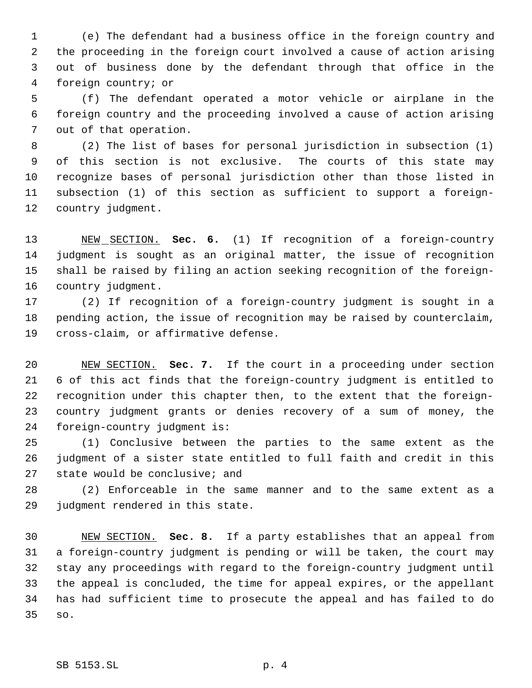(e) The defendant had a business office in the foreign country and the proceeding in the foreign court involved a cause of action arising out of business done by the defendant through that office in the foreign country; or

 (f) The defendant operated a motor vehicle or airplane in the foreign country and the proceeding involved a cause of action arising out of that operation.

 (2) The list of bases for personal jurisdiction in subsection (1) of this section is not exclusive. The courts of this state may recognize bases of personal jurisdiction other than those listed in subsection (1) of this section as sufficient to support a foreign-country judgment.

 NEW SECTION. **Sec. 6.** (1) If recognition of a foreign-country judgment is sought as an original matter, the issue of recognition shall be raised by filing an action seeking recognition of the foreign-country judgment.

 (2) If recognition of a foreign-country judgment is sought in a pending action, the issue of recognition may be raised by counterclaim, cross-claim, or affirmative defense.

 NEW SECTION. **Sec. 7.** If the court in a proceeding under section 6 of this act finds that the foreign-country judgment is entitled to recognition under this chapter then, to the extent that the foreign- country judgment grants or denies recovery of a sum of money, the foreign-country judgment is:

 (1) Conclusive between the parties to the same extent as the judgment of a sister state entitled to full faith and credit in this state would be conclusive; and

 (2) Enforceable in the same manner and to the same extent as a judgment rendered in this state.

 NEW SECTION. **Sec. 8.** If a party establishes that an appeal from a foreign-country judgment is pending or will be taken, the court may stay any proceedings with regard to the foreign-country judgment until the appeal is concluded, the time for appeal expires, or the appellant has had sufficient time to prosecute the appeal and has failed to do so.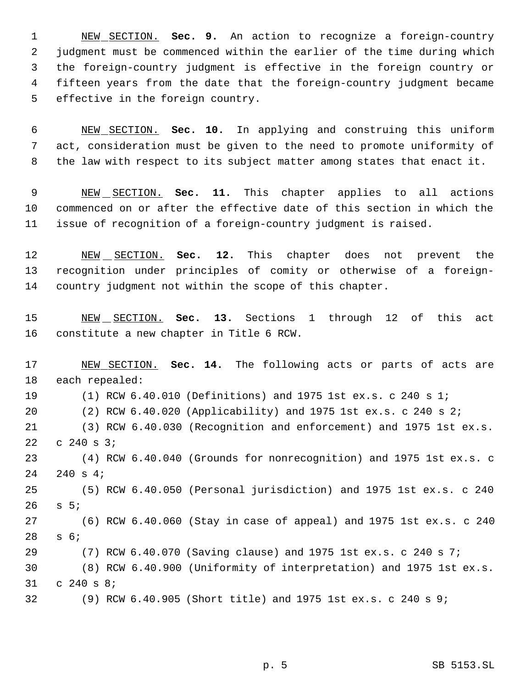NEW SECTION. **Sec. 9.** An action to recognize a foreign-country judgment must be commenced within the earlier of the time during which the foreign-country judgment is effective in the foreign country or fifteen years from the date that the foreign-country judgment became effective in the foreign country.

 NEW SECTION. **Sec. 10.** In applying and construing this uniform act, consideration must be given to the need to promote uniformity of the law with respect to its subject matter among states that enact it.

 NEW SECTION. **Sec. 11.** This chapter applies to all actions commenced on or after the effective date of this section in which the issue of recognition of a foreign-country judgment is raised.

 NEW SECTION. **Sec. 12.** This chapter does not prevent the recognition under principles of comity or otherwise of a foreign-country judgment not within the scope of this chapter.

 NEW SECTION. **Sec. 13.** Sections 1 through 12 of this act constitute a new chapter in Title 6 RCW.

 NEW SECTION. **Sec. 14.** The following acts or parts of acts are each repealed: (1) RCW 6.40.010 (Definitions) and 1975 1st ex.s. c 240 s 1; (2) RCW 6.40.020 (Applicability) and 1975 1st ex.s. c 240 s 2; (3) RCW 6.40.030 (Recognition and enforcement) and 1975 1st ex.s. c 240 s 3; (4) RCW 6.40.040 (Grounds for nonrecognition) and 1975 1st ex.s. c 240 s 4; (5) RCW 6.40.050 (Personal jurisdiction) and 1975 1st ex.s. c 240 s 5; (6) RCW 6.40.060 (Stay in case of appeal) and 1975 1st ex.s. c 240 s 6; (7) RCW 6.40.070 (Saving clause) and 1975 1st ex.s. c 240 s 7; (8) RCW 6.40.900 (Uniformity of interpretation) and 1975 1st ex.s. c 240 s 8; (9) RCW 6.40.905 (Short title) and 1975 1st ex.s. c 240 s 9;